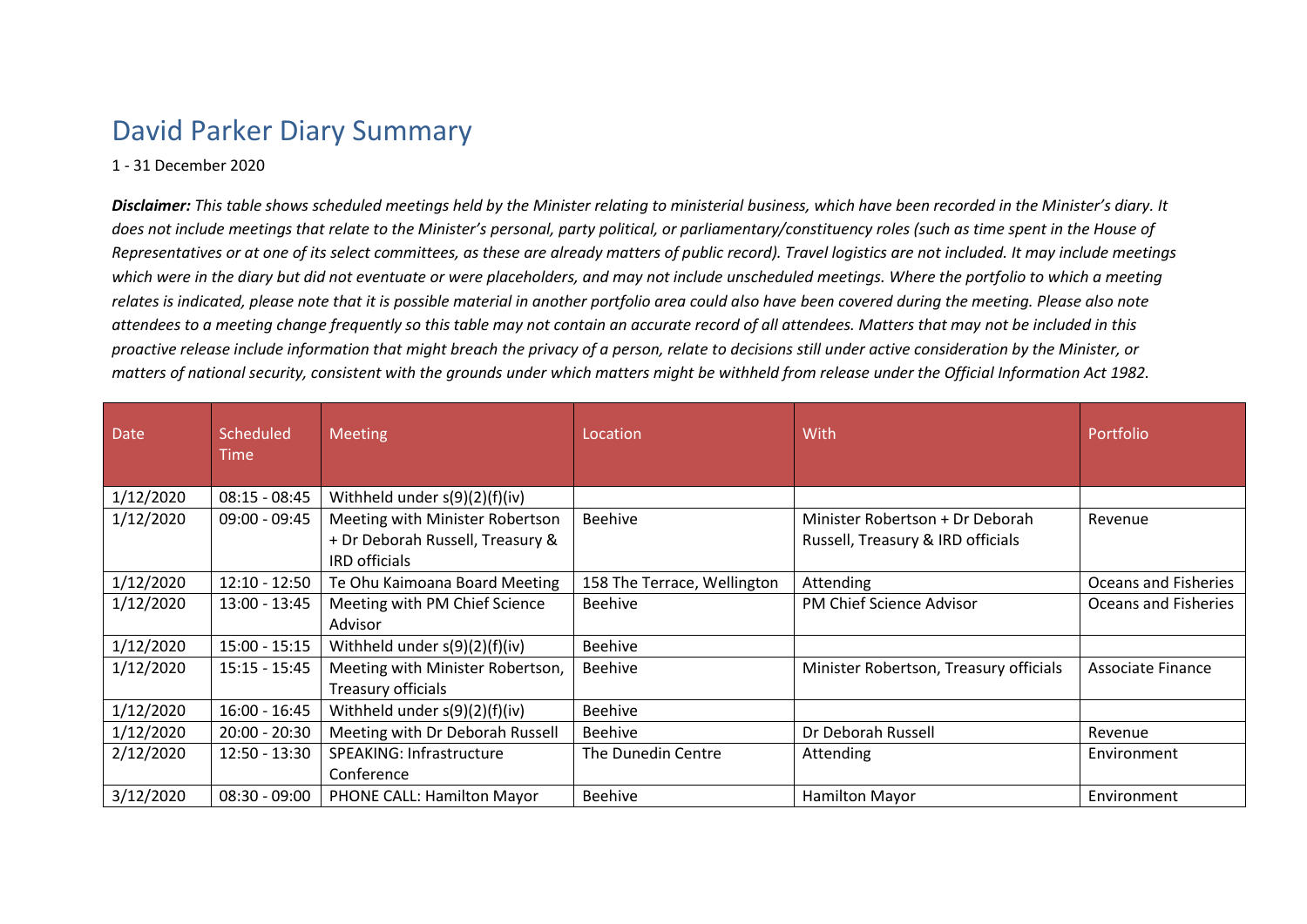## David Parker Diary Summary

## 1 - 31 December 2020

*Disclaimer: This table shows scheduled meetings held by the Minister relating to ministerial business, which have been recorded in the Minister's diary. It does not include meetings that relate to the Minister's personal, party political, or parliamentary/constituency roles (such as time spent in the House of Representatives or at one of its select committees, as these are already matters of public record). Travel logistics are not included. It may include meetings which were in the diary but did not eventuate or were placeholders, and may not include unscheduled meetings. Where the portfolio to which a meeting relates is indicated, please note that it is possible material in another portfolio area could also have been covered during the meeting. Please also note attendees to a meeting change frequently so this table may not contain an accurate record of all attendees. Matters that may not be included in this proactive release include information that might breach the privacy of a person, relate to decisions still under active consideration by the Minister, or matters of national security, consistent with the grounds under which matters might be withheld from release under the Official Information Act 1982.*

| <b>Date</b> | Scheduled<br><b>Time</b> | <b>Meeting</b>                                                                              | Location                    | With                                                                 | Portfolio                   |
|-------------|--------------------------|---------------------------------------------------------------------------------------------|-----------------------------|----------------------------------------------------------------------|-----------------------------|
| 1/12/2020   | $08:15 - 08:45$          | Withheld under $s(9)(2)(f)(iv)$                                                             |                             |                                                                      |                             |
| 1/12/2020   | $09:00 - 09:45$          | Meeting with Minister Robertson<br>+ Dr Deborah Russell, Treasury &<br><b>IRD</b> officials | <b>Beehive</b>              | Minister Robertson + Dr Deborah<br>Russell, Treasury & IRD officials | Revenue                     |
| 1/12/2020   | $12:10 - 12:50$          | Te Ohu Kaimoana Board Meeting                                                               | 158 The Terrace, Wellington | Attending                                                            | <b>Oceans and Fisheries</b> |
| 1/12/2020   | $13:00 - 13:45$          | Meeting with PM Chief Science<br>Advisor                                                    | Beehive                     | PM Chief Science Advisor                                             | Oceans and Fisheries        |
| 1/12/2020   | $15:00 - 15:15$          | Withheld under $s(9)(2)(f)(iv)$                                                             | <b>Beehive</b>              |                                                                      |                             |
| 1/12/2020   | $15:15 - 15:45$          | Meeting with Minister Robertson,<br>Treasury officials                                      | Beehive                     | Minister Robertson, Treasury officials                               | Associate Finance           |
| 1/12/2020   | $16:00 - 16:45$          | Withheld under $s(9)(2)(f)(iv)$                                                             | <b>Beehive</b>              |                                                                      |                             |
| 1/12/2020   | $20:00 - 20:30$          | Meeting with Dr Deborah Russell                                                             | <b>Beehive</b>              | Dr Deborah Russell                                                   | Revenue                     |
| 2/12/2020   | $12:50 - 13:30$          | SPEAKING: Infrastructure<br>Conference                                                      | The Dunedin Centre          | Attending                                                            | Environment                 |
| 3/12/2020   | $08:30 - 09:00$          | <b>PHONE CALL: Hamilton Mayor</b>                                                           | <b>Beehive</b>              | <b>Hamilton Mayor</b>                                                | Environment                 |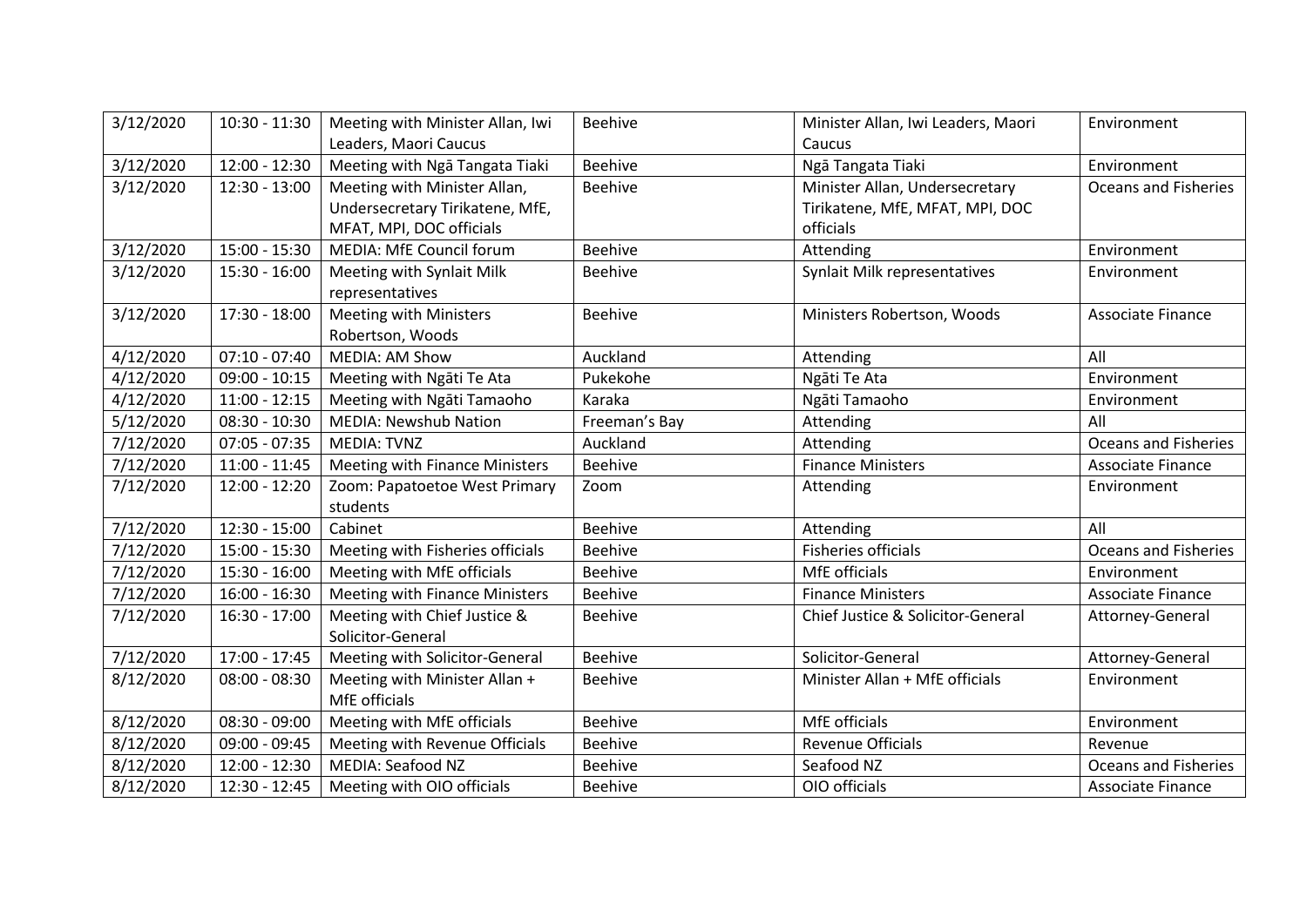| 3/12/2020 | $10:30 - 11:30$ | Meeting with Minister Allan, Iwi | <b>Beehive</b> | Minister Allan, Iwi Leaders, Maori | Environment                 |
|-----------|-----------------|----------------------------------|----------------|------------------------------------|-----------------------------|
|           |                 | Leaders, Maori Caucus            |                | Caucus                             |                             |
| 3/12/2020 | $12:00 - 12:30$ | Meeting with Nga Tangata Tiaki   | Beehive        | Ngā Tangata Tiaki                  | Environment                 |
| 3/12/2020 | 12:30 - 13:00   | Meeting with Minister Allan,     | Beehive        | Minister Allan, Undersecretary     | <b>Oceans and Fisheries</b> |
|           |                 | Undersecretary Tirikatene, MfE,  |                | Tirikatene, MfE, MFAT, MPI, DOC    |                             |
|           |                 | MFAT, MPI, DOC officials         |                | officials                          |                             |
| 3/12/2020 | 15:00 - 15:30   | MEDIA: MfE Council forum         | Beehive        | Attending                          | Environment                 |
| 3/12/2020 | 15:30 - 16:00   | Meeting with Synlait Milk        | Beehive        | Synlait Milk representatives       | Environment                 |
|           |                 | representatives                  |                |                                    |                             |
| 3/12/2020 | 17:30 - 18:00   | <b>Meeting with Ministers</b>    | Beehive        | Ministers Robertson, Woods         | <b>Associate Finance</b>    |
|           |                 | Robertson, Woods                 |                |                                    |                             |
| 4/12/2020 | $07:10 - 07:40$ | <b>MEDIA: AM Show</b>            | Auckland       | Attending                          | All                         |
| 4/12/2020 | $09:00 - 10:15$ | Meeting with Ngati Te Ata        | Pukekohe       | Ngāti Te Ata                       | Environment                 |
| 4/12/2020 | $11:00 - 12:15$ | Meeting with Ngati Tamaoho       | Karaka         | Ngāti Tamaoho                      | Environment                 |
| 5/12/2020 | 08:30 - 10:30   | <b>MEDIA: Newshub Nation</b>     | Freeman's Bay  | Attending                          | All                         |
| 7/12/2020 | $07:05 - 07:35$ | <b>MEDIA: TVNZ</b>               | Auckland       | Attending                          | <b>Oceans and Fisheries</b> |
| 7/12/2020 | $11:00 - 11:45$ | Meeting with Finance Ministers   | Beehive        | <b>Finance Ministers</b>           | Associate Finance           |
| 7/12/2020 | 12:00 - 12:20   | Zoom: Papatoetoe West Primary    | Zoom           | Attending                          | Environment                 |
|           |                 | students                         |                |                                    |                             |
| 7/12/2020 | $12:30 - 15:00$ | Cabinet                          | <b>Beehive</b> | Attending                          | All                         |
| 7/12/2020 | 15:00 - 15:30   | Meeting with Fisheries officials | Beehive        | <b>Fisheries officials</b>         | <b>Oceans and Fisheries</b> |
| 7/12/2020 | 15:30 - 16:00   | Meeting with MfE officials       | Beehive        | MfE officials                      | Environment                 |
| 7/12/2020 | $16:00 - 16:30$ | Meeting with Finance Ministers   | <b>Beehive</b> | <b>Finance Ministers</b>           | Associate Finance           |
| 7/12/2020 | 16:30 - 17:00   | Meeting with Chief Justice &     | Beehive        | Chief Justice & Solicitor-General  | Attorney-General            |
|           |                 | Solicitor-General                |                |                                    |                             |
| 7/12/2020 | $17:00 - 17:45$ | Meeting with Solicitor-General   | <b>Beehive</b> | Solicitor-General                  | Attorney-General            |
| 8/12/2020 | $08:00 - 08:30$ | Meeting with Minister Allan +    | Beehive        | Minister Allan + MfE officials     | Environment                 |
|           |                 | MfE officials                    |                |                                    |                             |
| 8/12/2020 | 08:30 - 09:00   | Meeting with MfE officials       | <b>Beehive</b> | MfE officials                      | Environment                 |
| 8/12/2020 | 09:00 - 09:45   | Meeting with Revenue Officials   | Beehive        | <b>Revenue Officials</b>           | Revenue                     |
| 8/12/2020 | $12:00 - 12:30$ | <b>MEDIA: Seafood NZ</b>         | Beehive        | Seafood NZ                         | <b>Oceans and Fisheries</b> |
| 8/12/2020 | 12:30 - 12:45   | Meeting with OIO officials       | Beehive        | OIO officials                      | Associate Finance           |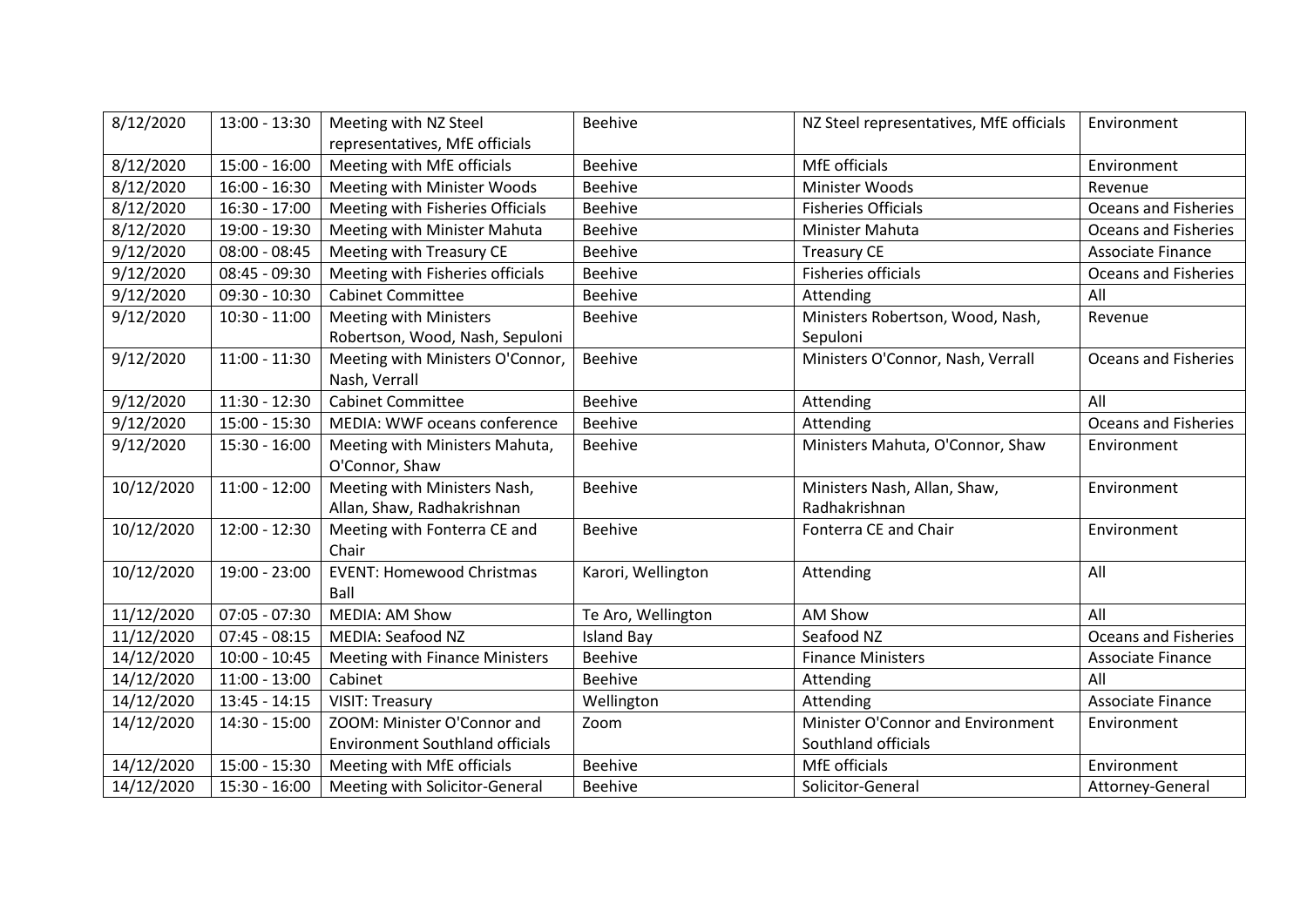| 8/12/2020  | $13:00 - 13:30$ | Meeting with NZ Steel                  | <b>Beehive</b>     | NZ Steel representatives, MfE officials | Environment                 |
|------------|-----------------|----------------------------------------|--------------------|-----------------------------------------|-----------------------------|
|            |                 | representatives, MfE officials         |                    |                                         |                             |
| 8/12/2020  | $15:00 - 16:00$ | Meeting with MfE officials             | <b>Beehive</b>     | MfE officials                           | Environment                 |
| 8/12/2020  | $16:00 - 16:30$ | Meeting with Minister Woods            | <b>Beehive</b>     | Minister Woods                          | Revenue                     |
| 8/12/2020  | 16:30 - 17:00   | Meeting with Fisheries Officials       | <b>Beehive</b>     | <b>Fisheries Officials</b>              | <b>Oceans and Fisheries</b> |
| 8/12/2020  | 19:00 - 19:30   | Meeting with Minister Mahuta           | <b>Beehive</b>     | Minister Mahuta                         | <b>Oceans and Fisheries</b> |
| 9/12/2020  | $08:00 - 08:45$ | Meeting with Treasury CE               | Beehive            | <b>Treasury CE</b>                      | <b>Associate Finance</b>    |
| 9/12/2020  | 08:45 - 09:30   | Meeting with Fisheries officials       | <b>Beehive</b>     | <b>Fisheries officials</b>              | <b>Oceans and Fisheries</b> |
| 9/12/2020  | $09:30 - 10:30$ | <b>Cabinet Committee</b>               | <b>Beehive</b>     | Attending                               | All                         |
| 9/12/2020  | $10:30 - 11:00$ | Meeting with Ministers                 | <b>Beehive</b>     | Ministers Robertson, Wood, Nash,        | Revenue                     |
|            |                 | Robertson, Wood, Nash, Sepuloni        |                    | Sepuloni                                |                             |
| 9/12/2020  | $11:00 - 11:30$ | Meeting with Ministers O'Connor,       | Beehive            | Ministers O'Connor, Nash, Verrall       | <b>Oceans and Fisheries</b> |
|            |                 | Nash, Verrall                          |                    |                                         |                             |
| 9/12/2020  | $11:30 - 12:30$ | <b>Cabinet Committee</b>               | <b>Beehive</b>     | Attending                               | All                         |
| 9/12/2020  | 15:00 - 15:30   | MEDIA: WWF oceans conference           | Beehive            | Attending                               | <b>Oceans and Fisheries</b> |
| 9/12/2020  | $15:30 - 16:00$ | Meeting with Ministers Mahuta,         | Beehive            | Ministers Mahuta, O'Connor, Shaw        | Environment                 |
|            |                 | O'Connor, Shaw                         |                    |                                         |                             |
| 10/12/2020 | $11:00 - 12:00$ | Meeting with Ministers Nash,           | <b>Beehive</b>     | Ministers Nash, Allan, Shaw,            | Environment                 |
|            |                 | Allan, Shaw, Radhakrishnan             |                    | Radhakrishnan                           |                             |
| 10/12/2020 | 12:00 - 12:30   | Meeting with Fonterra CE and           | <b>Beehive</b>     | Fonterra CE and Chair                   | Environment                 |
|            |                 | Chair                                  |                    |                                         |                             |
| 10/12/2020 | 19:00 - 23:00   | <b>EVENT: Homewood Christmas</b>       | Karori, Wellington | Attending                               | All                         |
|            |                 | Ball                                   |                    |                                         |                             |
| 11/12/2020 | $07:05 - 07:30$ | <b>MEDIA: AM Show</b>                  | Te Aro, Wellington | AM Show                                 | All                         |
| 11/12/2020 | $07:45 - 08:15$ | <b>MEDIA: Seafood NZ</b>               | <b>Island Bay</b>  | Seafood NZ                              | <b>Oceans and Fisheries</b> |
| 14/12/2020 | $10:00 - 10:45$ | Meeting with Finance Ministers         | <b>Beehive</b>     | <b>Finance Ministers</b>                | Associate Finance           |
| 14/12/2020 | $11:00 - 13:00$ | Cabinet                                | Beehive            | Attending                               | All                         |
| 14/12/2020 | $13:45 - 14:15$ | <b>VISIT: Treasury</b>                 | Wellington         | Attending                               | Associate Finance           |
| 14/12/2020 | 14:30 - 15:00   | ZOOM: Minister O'Connor and            | Zoom               | Minister O'Connor and Environment       | Environment                 |
|            |                 | <b>Environment Southland officials</b> |                    | Southland officials                     |                             |
| 14/12/2020 | $15:00 - 15:30$ | Meeting with MfE officials             | <b>Beehive</b>     | MfE officials                           | Environment                 |
| 14/12/2020 | $15:30 - 16:00$ | Meeting with Solicitor-General         | Beehive            | Solicitor-General                       | Attorney-General            |